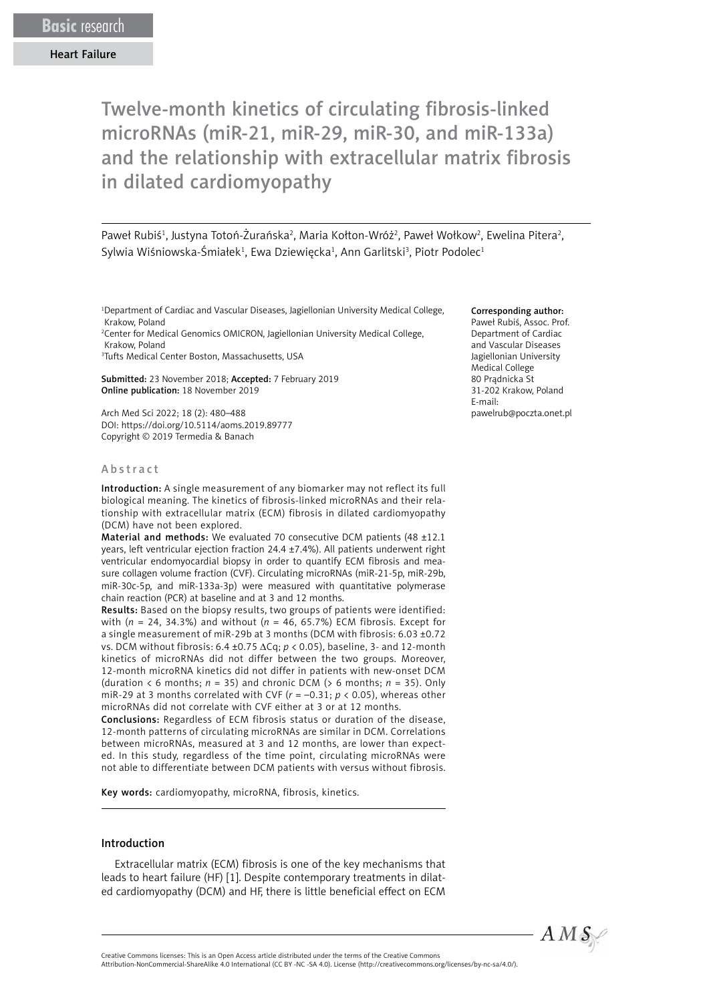# Twelve-month kinetics of circulating fibrosis-linked microRNAs (miR-21, miR-29, miR-30, and miR-133a) and the relationship with extracellular matrix fibrosis in dilated cardiomyopathy

Paweł Rubiś<sup>1</sup>, Justyna Totoń-Żurańska<sup>2</sup>, Maria Kołton-Wróż<sup>2</sup>, Paweł Wołkow<sup>2</sup>, Ewelina Pitera<sup>2</sup>, Sylwia Wiśniowska-Śmiałek<sup>1</sup>, Ewa Dziewięcka<sup>1</sup>, Ann Garlitski<sup>3</sup>, Piotr Podolec<sup>1</sup>

<sup>1</sup>Department of Cardiac and Vascular Diseases, Jagiellonian University Medical College, Krakow, Poland

2 Center for Medical Genomics OMICRON, Jagiellonian University Medical College, Krakow, Poland

3 Tufts Medical Center Boston, Massachusetts, USA

Submitted: 23 November 2018; Accepted: 7 February 2019 Online publication: 18 November 2019

Arch Med Sci 2022; 18 (2): 480–488 DOI: https://doi.org/10.5114/aoms.2019.89777 Copyright © 2019 Termedia & Banach

#### Abstract

Introduction: A single measurement of any biomarker may not reflect its full biological meaning. The kinetics of fibrosis-linked microRNAs and their relationship with extracellular matrix (ECM) fibrosis in dilated cardiomyopathy (DCM) have not been explored.

Material and methods: We evaluated 70 consecutive DCM patients (48 ±12.1 years, left ventricular ejection fraction 24.4 ±7.4%). All patients underwent right ventricular endomyocardial biopsy in order to quantify ECM fibrosis and measure collagen volume fraction (CVF). Circulating microRNAs (miR-21-5p, miR-29b, miR-30c-5p, and miR-133a-3p) were measured with quantitative polymerase chain reaction (PCR) at baseline and at 3 and 12 months.

Results: Based on the biopsy results, two groups of patients were identified: with (*n* = 24, 34.3%) and without (*n* = 46, 65.7%) ECM fibrosis. Except for a single measurement of miR-29b at 3 months (DCM with fibrosis: 6.03 ±0.72 vs. DCM without fibrosis: 6.4 ±0.75 ΔCq; *p* < 0.05), baseline, 3- and 12-month kinetics of microRNAs did not differ between the two groups. Moreover, 12-month microRNA kinetics did not differ in patients with new-onset DCM (duration < 6 months; *n* = 35) and chronic DCM (> 6 months; *n* = 35). Only miR-29 at 3 months correlated with CVF (*r* = –0.31; *p* < 0.05), whereas other microRNAs did not correlate with CVF either at 3 or at 12 months.

Conclusions: Regardless of ECM fibrosis status or duration of the disease, 12-month patterns of circulating microRNAs are similar in DCM. Correlations between microRNAs, measured at 3 and 12 months, are lower than expected. In this study, regardless of the time point, circulating microRNAs were not able to differentiate between DCM patients with versus without fibrosis.

Key words: cardiomyopathy, microRNA, fibrosis, kinetics.

#### Introduction

Extracellular matrix (ECM) fibrosis is one of the key mechanisms that leads to heart failure (HF) [1]. Despite contemporary treatments in dilated cardiomyopathy (DCM) and HF, there is little beneficial effect on ECM

#### Corresponding author:

Paweł Rubiś, Assoc. Prof. Department of Cardiac and Vascular Diseases Jagiellonian University Medical College 80 Prądnicka St 31-202 Krakow, Poland E-mail: pawelrub@poczta.onet.pl



Attribution-NonCommercial-ShareAlike 4.0 International (CC BY -NC -SA 4.0). License (http://creativecommons.org/licenses/by-nc-sa/4.0/).

Creative Commons licenses: This is an Open Access article distributed under the terms of the Creative Commons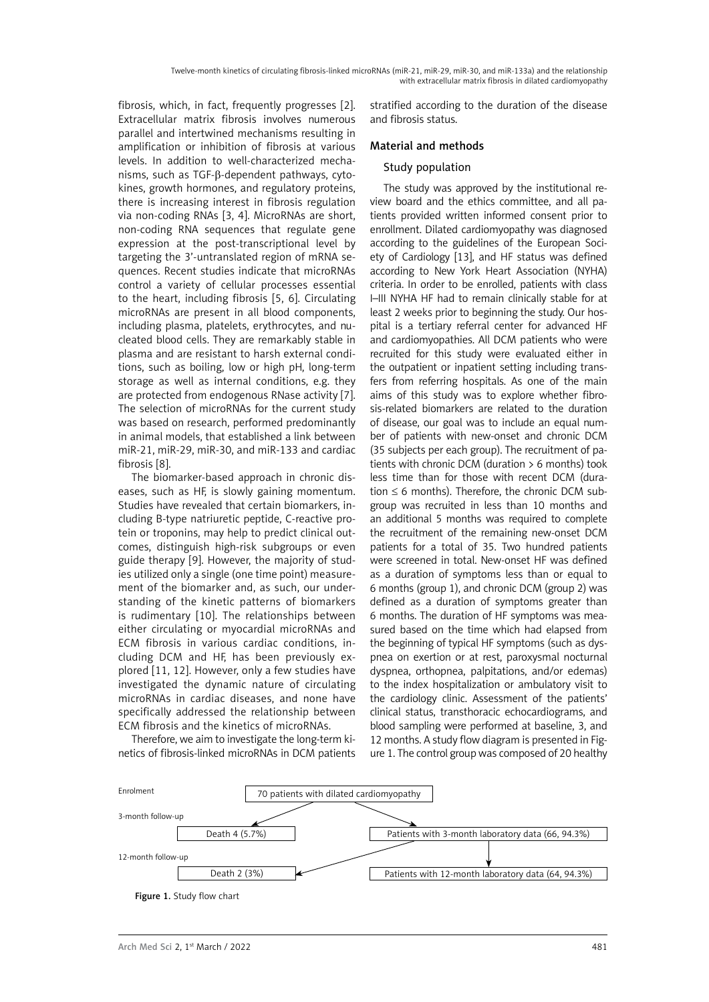fibrosis, which, in fact, frequently progresses [2]. Extracellular matrix fibrosis involves numerous parallel and intertwined mechanisms resulting in amplification or inhibition of fibrosis at various levels. In addition to well-characterized mechanisms, such as TGF-β-dependent pathways, cytokines, growth hormones, and regulatory proteins, there is increasing interest in fibrosis regulation via non-coding RNAs [3, 4]. MicroRNAs are short, non-coding RNA sequences that regulate gene expression at the post-transcriptional level by targeting the 3'-untranslated region of mRNA sequences. Recent studies indicate that microRNAs control a variety of cellular processes essential to the heart, including fibrosis [5, 6]. Circulating microRNAs are present in all blood components, including plasma, platelets, erythrocytes, and nucleated blood cells. They are remarkably stable in plasma and are resistant to harsh external conditions, such as boiling, low or high pH, long-term storage as well as internal conditions, e.g. they are protected from endogenous RNase activity [7]. The selection of microRNAs for the current study was based on research, performed predominantly in animal models, that established a link between miR-21, miR-29, miR-30, and miR-133 and cardiac fibrosis [8].

The biomarker-based approach in chronic diseases, such as HF, is slowly gaining momentum. Studies have revealed that certain biomarkers, including B-type natriuretic peptide, C-reactive protein or troponins, may help to predict clinical outcomes, distinguish high-risk subgroups or even guide therapy [9]. However, the majority of studies utilized only a single (one time point) measurement of the biomarker and, as such, our understanding of the kinetic patterns of biomarkers is rudimentary [10]. The relationships between either circulating or myocardial microRNAs and ECM fibrosis in various cardiac conditions, including DCM and HF, has been previously explored [11, 12]. However, only a few studies have investigated the dynamic nature of circulating microRNAs in cardiac diseases, and none have specifically addressed the relationship between ECM fibrosis and the kinetics of microRNAs.

Therefore, we aim to investigate the long-term kinetics of fibrosis-linked microRNAs in DCM patients stratified according to the duration of the disease and fibrosis status.

## Material and methods

#### Study population

The study was approved by the institutional review board and the ethics committee, and all patients provided written informed consent prior to enrollment. Dilated cardiomyopathy was diagnosed according to the guidelines of the European Society of Cardiology [13], and HF status was defined according to New York Heart Association (NYHA) criteria. In order to be enrolled, patients with class I–III NYHA HF had to remain clinically stable for at least 2 weeks prior to beginning the study. Our hospital is a tertiary referral center for advanced HF and cardiomyopathies. All DCM patients who were recruited for this study were evaluated either in the outpatient or inpatient setting including transfers from referring hospitals. As one of the main aims of this study was to explore whether fibrosis-related biomarkers are related to the duration of disease, our goal was to include an equal number of patients with new-onset and chronic DCM (35 subjects per each group). The recruitment of patients with chronic DCM (duration > 6 months) took less time than for those with recent DCM (duration  $\leq 6$  months). Therefore, the chronic DCM subgroup was recruited in less than 10 months and an additional 5 months was required to complete the recruitment of the remaining new-onset DCM patients for a total of 35. Two hundred patients were screened in total. New-onset HF was defined as a duration of symptoms less than or equal to 6 months (group 1), and chronic DCM (group 2) was defined as a duration of symptoms greater than 6 months. The duration of HF symptoms was measured based on the time which had elapsed from the beginning of typical HF symptoms (such as dyspnea on exertion or at rest, paroxysmal nocturnal dyspnea, orthopnea, palpitations, and/or edemas) to the index hospitalization or ambulatory visit to the cardiology clinic. Assessment of the patients' clinical status, transthoracic echocardiograms, and blood sampling were performed at baseline, 3, and 12 months. A study flow diagram is presented in Figure 1. The control group was composed of 20 healthy

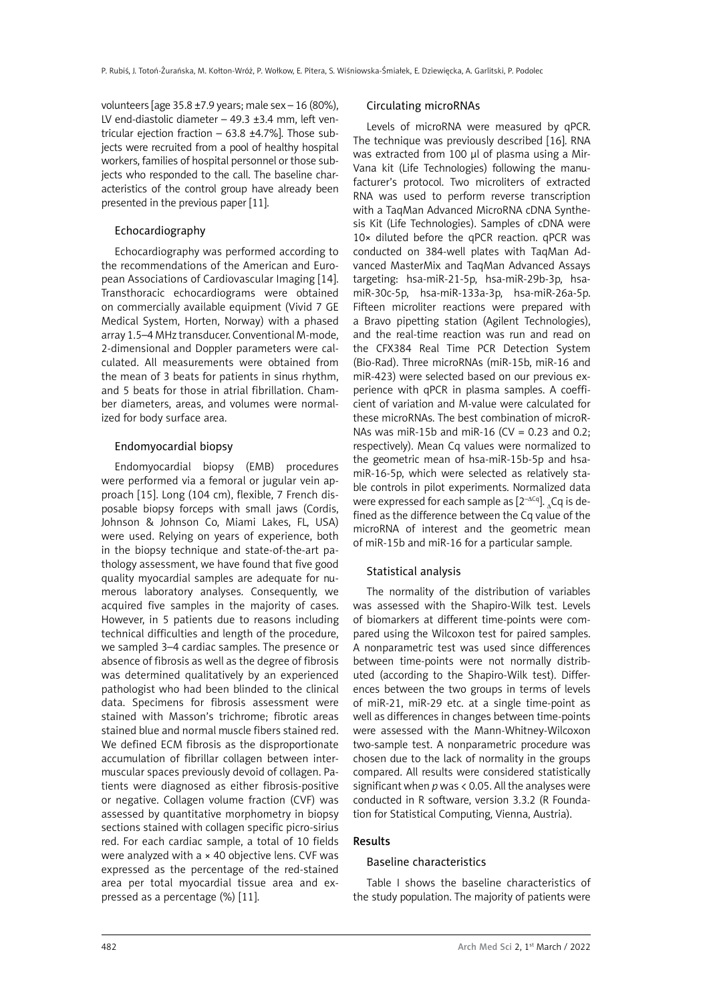volunteers [age  $35.8 \pm 7.9$  years; male sex - 16 (80%), LV end-diastolic diameter  $-49.3 \pm 3.4$  mm, left ventricular ejection fraction  $-63.8 \pm 4.7\%$ ]. Those subjects were recruited from a pool of healthy hospital workers, families of hospital personnel or those subjects who responded to the call. The baseline characteristics of the control group have already been presented in the previous paper [11].

## Echocardiography

Echocardiography was performed according to the recommendations of the American and European Associations of Cardiovascular Imaging [14]. Transthoracic echocardiograms were obtained on commercially available equipment (Vivid 7 GE Medical System, Horten, Norway) with a phased array 1.5–4 MHz transducer. Conventional M-mode, 2-dimensional and Doppler parameters were calculated. All measurements were obtained from the mean of 3 beats for patients in sinus rhythm, and 5 beats for those in atrial fibrillation. Chamber diameters, areas, and volumes were normalized for body surface area.

#### Endomyocardial biopsy

Endomyocardial biopsy (EMB) procedures were performed via a femoral or jugular vein approach [15]. Long (104 cm), flexible, 7 French disposable biopsy forceps with small jaws (Cordis, Johnson & Johnson Co, Miami Lakes, FL, USA) were used. Relying on years of experience, both in the biopsy technique and state-of-the-art pathology assessment, we have found that five good quality myocardial samples are adequate for numerous laboratory analyses. Consequently, we acquired five samples in the majority of cases. However, in 5 patients due to reasons including technical difficulties and length of the procedure, we sampled 3–4 cardiac samples. The presence or absence of fibrosis as well as the degree of fibrosis was determined qualitatively by an experienced pathologist who had been blinded to the clinical data. Specimens for fibrosis assessment were stained with Masson's trichrome; fibrotic areas stained blue and normal muscle fibers stained red. We defined ECM fibrosis as the disproportionate accumulation of fibrillar collagen between intermuscular spaces previously devoid of collagen. Patients were diagnosed as either fibrosis-positive or negative. Collagen volume fraction (CVF) was assessed by quantitative morphometry in biopsy sections stained with collagen specific picro-sirius red. For each cardiac sample, a total of 10 fields were analyzed with  $a \times 40$  objective lens. CVF was expressed as the percentage of the red-stained area per total myocardial tissue area and expressed as a percentage (%) [11].

#### Circulating microRNAs

Levels of microRNA were measured by qPCR. The technique was previously described [16]. RNA was extracted from 100 μl of plasma using a Mir-Vana kit (Life Technologies) following the manufacturer's protocol. Two microliters of extracted RNA was used to perform reverse transcription with a TaqMan Advanced MicroRNA cDNA Synthesis Kit (Life Technologies). Samples of cDNA were 10× diluted before the qPCR reaction. qPCR was conducted on 384-well plates with TaqMan Advanced MasterMix and TaqMan Advanced Assays targeting: hsa-miR-21-5p, hsa-miR-29b-3p, hsamiR-30c-5p, hsa-miR-133a-3p, hsa-miR-26a-5p. Fifteen microliter reactions were prepared with a Bravo pipetting station (Agilent Technologies), and the real-time reaction was run and read on the CFX384 Real Time PCR Detection System (Bio-Rad). Three microRNAs (miR-15b, miR-16 and miR-423) were selected based on our previous experience with qPCR in plasma samples. A coefficient of variation and M-value were calculated for these microRNAs. The best combination of microR-NAs was miR-15b and miR-16 (CV = 0.23 and 0.2; respectively). Mean Cq values were normalized to the geometric mean of hsa-miR-15b-5p and hsamiR-16-5p, which were selected as relatively stable controls in pilot experiments. Normalized data were expressed for each sample as  $[2^{-\Delta Cq}]$ . Cq is defined as the difference between the Cq value of the microRNA of interest and the geometric mean of miR-15b and miR-16 for a particular sample.

#### Statistical analysis

The normality of the distribution of variables was assessed with the Shapiro-Wilk test. Levels of biomarkers at different time-points were compared using the Wilcoxon test for paired samples. A nonparametric test was used since differences between time-points were not normally distributed (according to the Shapiro-Wilk test). Differences between the two groups in terms of levels of miR-21, miR-29 etc. at a single time-point as well as differences in changes between time-points were assessed with the Mann-Whitney-Wilcoxon two-sample test. A nonparametric procedure was chosen due to the lack of normality in the groups compared. All results were considered statistically significant when *p* was < 0.05. All the analyses were conducted in R software, version 3.3.2 (R Foundation for Statistical Computing, Vienna, Austria).

#### Results

#### Baseline characteristics

Table I shows the baseline characteristics of the study population. The majority of patients were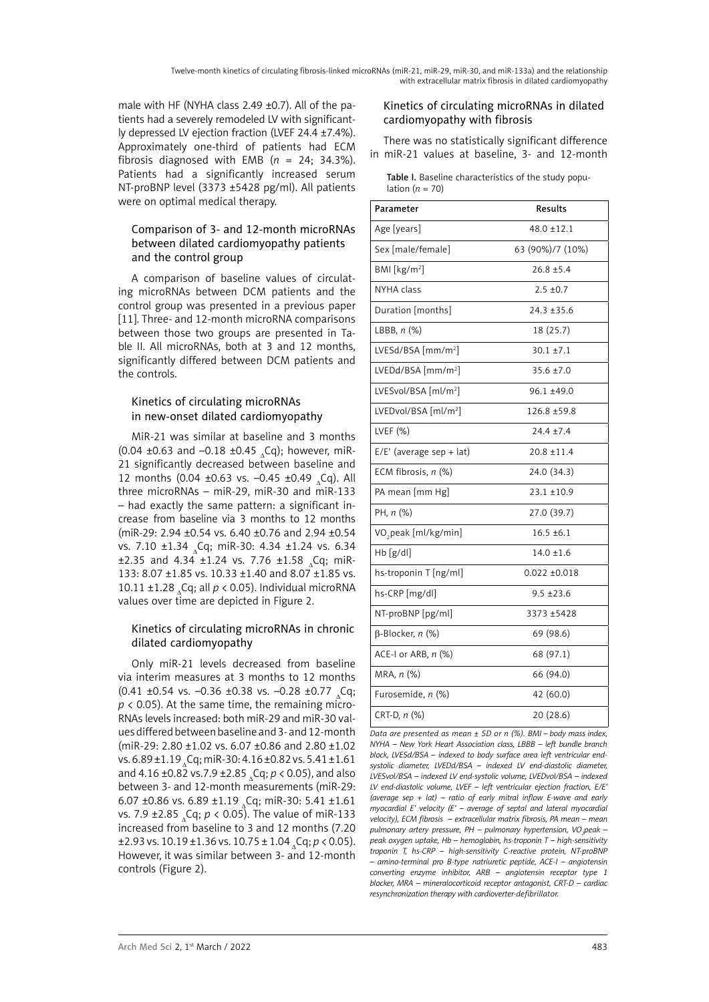male with HF (NYHA class 2.49 ±0.7). All of the patients had a severely remodeled LV with significantly depressed LV ejection fraction (LVEF 24.4 ±7.4%). Approximately one-third of patients had ECM fibrosis diagnosed with EMB  $(n = 24; 34.3\%).$ Patients had a significantly increased serum NT-proBNP level (3373 ±5428 pg/ml). All patients were on optimal medical therapy.

# Comparison of 3- and 12-month microRNAs between dilated cardiomyopathy patients and the control group

A comparison of baseline values of circulating microRNAs between DCM patients and the control group was presented in a previous paper [11]. Three- and 12-month microRNA comparisons between those two groups are presented in Table II. All microRNAs, both at 3 and 12 months, significantly differed between DCM patients and the controls.

## Kinetics of circulating microRNAs in new-onset dilated cardiomyopathy

MiR-21 was similar at baseline and 3 months  $(0.04 \pm 0.63 \text{ and } -0.18 \pm 0.45 \text{ C}a)$ ; however, miR-21 significantly decreased between baseline and 12 months (0.04 ±0.63 vs.  $-0.45$  ±0.49  $Cq$ ). All three microRNAs – miR-29, miR-30 and miR-133 – had exactly the same pattern: a significant increase from baseline via 3 months to 12 months (miR-29: 2.94 ±0.54 vs. 6.40 ±0.76 and 2.94 ±0.54 vs. 7.10 ±1.34 <sub>2</sub>Cq; miR-30: 4.34 ±1.24 vs. 6.34  $\pm$ 2.35 and 4.34  $\pm$ 1.24 vs. 7.76  $\pm$ 1.58 <sub>A</sub>Cq; miR-133: 8.07 ±1.85 vs. 10.33 ±1.40 and 8.07 ±1.85 vs. 10.11 ±1.28 Cq; all  $p < 0.05$ ). Individual microRNA values over time are depicted in Figure 2.

# Kinetics of circulating microRNAs in chronic dilated cardiomyopathy

Only miR-21 levels decreased from baseline via interim measures at 3 months to 12 months  $(0.41 \pm 0.54 \text{ vs. } -0.36 \pm 0.38 \text{ vs. } -0.28 \pm 0.77 \text{ }$ . Cq; *p* < 0.05). At the same time, the remaining micro-RNAs levels increased: both miR-29 and miR-30 values differed between baseline and 3- and 12-month (miR-29: 2.80 ±1.02 vs. 6.07 ±0.86 and 2.80 ±1.02 vs.  $6.89 \pm 1.19$ , Cq; miR-30:  $4.16 \pm 0.82$  vs.  $5.41 \pm 1.61$ and 4.16 ±0.82 vs.7.9 ±2.85 <sub>4</sub>Cq; *p* < 0.05), and also between 3- and 12-month measurements (miR-29: 6.07 ±0.86 vs. 6.89 ±1.19  $_{x}$ Cq; miR-30: 5.41 ±1.61 vs. 7.9 ±2.85 ΔCq; *p* < 0.05). The value of miR-133 increased from baseline to 3 and 12 months (7.20  $\pm$ 2.93 vs. 10.19 $\pm$ 1.36 vs. 10.75  $\pm$  1.04  $\Box$ Cq;  $p$  < 0.05). However, it was similar between 3- and 12-month controls (Figure 2).

## Kinetics of circulating microRNAs in dilated cardiomyopathy with fibrosis

There was no statistically significant difference in miR-21 values at baseline, 3- and 12-month

| Table I. Baseline characteristics of the study popu- |
|------------------------------------------------------|
| lation ( $n = 70$ )                                  |

| Parameter                        | Results           |
|----------------------------------|-------------------|
| Age [years]                      | $48.0 \pm 12.1$   |
| Sex [male/female]                | 63 (90%)/7 (10%)  |
| BMI $[kg/m2]$                    | $26.8 \pm 5.4$    |
| NYHA class                       | $2.5 \pm 0.7$     |
| Duration [months]                | $24.3 \pm 35.6$   |
| LBBB, $n$ $(\%)$                 | 18 (25.7)         |
| LVESd/BSA [mm/m <sup>2</sup> ]   | $30.1 \pm 7.1$    |
| LVEDd/BSA [mm/m <sup>2</sup> ]   | $35.6 \pm 7.0$    |
| LVESvol/BSA [ml/m <sup>2</sup> ] | 96.1 ±49.0        |
| LVEDvol/BSA [ml/m <sup>2</sup> ] | 126.8 ±59.8       |
| LVEF $(%)$                       | $24.4 \pm 7.4$    |
| E/E' (average sep + lat)         | $20.8 \pm 11.4$   |
| ECM fibrosis, n (%)              | 24.0 (34.3)       |
| PA mean [mm Hg]                  | $23.1 \pm 10.9$   |
| PH, n (%)                        | 27.0 (39.7)       |
| VO <sub>2</sub> peak [ml/kg/min] | $16.5 \pm 6.1$    |
| $Hb$ [g/dl]                      | $14.0 \pm 1.6$    |
| hs-troponin T [ng/ml]            | $0.022 \pm 0.018$ |
| hs-CRP [mg/dl]                   | $9.5 \pm 23.6$    |
| NT-proBNP [pg/ml]                | 3373 ±5428        |
| $\beta$ -Blocker, n (%)          | 69 (98.6)         |
| ACE-I or ARB, n (%)              | 68 (97.1)         |
| MRA, n (%)                       | 66 (94.0)         |
| Furosemide, n (%)                | 42 (60.0)         |
| CRT-D, n (%)                     | 20 (28.6)         |

*Data are presented as mean ± SD or n (%). BMI – body mass index, NYHA – New York Heart Association class, LBBB – left bundle branch block, LVESd/BSA – indexed to body surface area left ventricular endsystolic diameter, LVEDd/BSA – indexed LV end-diastolic diameter, LVESvol/BSA – indexed LV end-systolic volume, LVEDvol/BSA – indexed LV end-diastolic volume, LVEF – left ventricular ejection fraction, E/E' (average sep + lat) – ratio of early mitral inflow E-wave and early myocardial E' velocity (E' – average of septal and lateral myocardial velocity), ECM fibrosis – extracellular matrix fibrosis, PA mean – mean*  pulmonary artery pressure, PH – pulmonary hypertension, VO<sub>2</sub>peak – *peak oxygen uptake, Hb – hemoglobin, hs-troponin T – high-sensitivity troponin T, hs-CRP – high-sensitivity C-reactive protein, NT-proBNP – amino-terminal pro B-type natriuretic peptide, ACE-I – angiotensin converting enzyme inhibitor, ARB – angiotensin receptor type 1 blocker, MRA – mineralocorticoid receptor antagonist, CRT-D – cardiac resynchronization therapy with cardioverter-defibrillator.*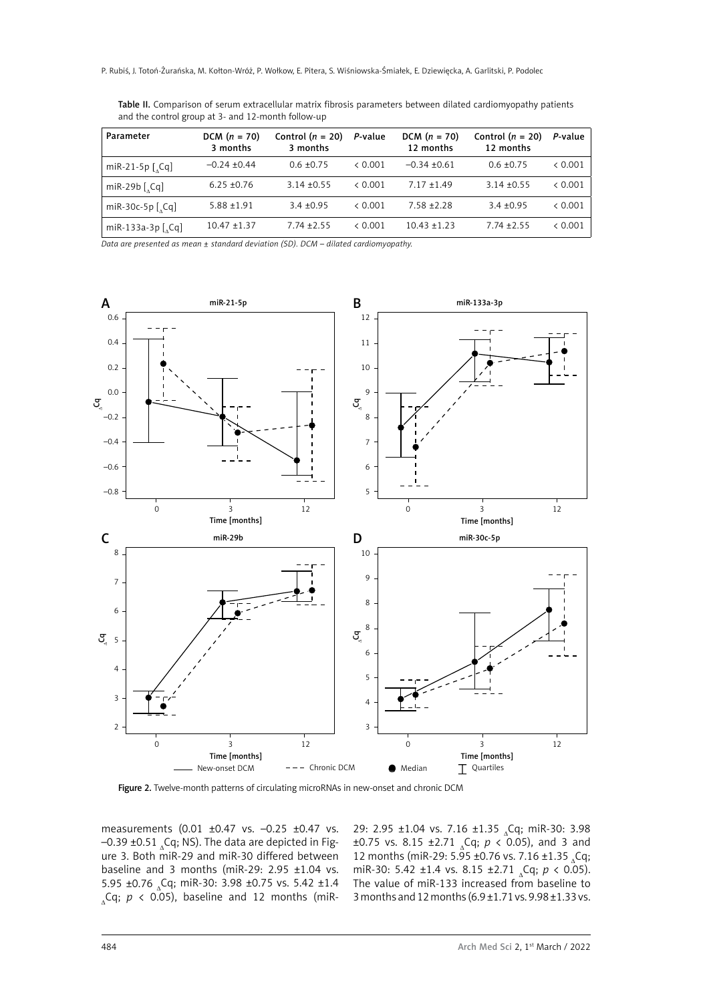| <b>Table II.</b> Comparison of serum extracellular matrix fibrosis parameters between dilated cardiomyopathy patients |  |  |
|-----------------------------------------------------------------------------------------------------------------------|--|--|
| and the control group at 3- and 12-month follow-up                                                                    |  |  |

| Parameter                        | DCM $(n = 70)$<br>3 months | Control $(n = 20)$<br>3 months | P-value | $DCM (n = 70)$<br>12 months | Control $(n = 20)$<br>12 months | P-value |
|----------------------------------|----------------------------|--------------------------------|---------|-----------------------------|---------------------------------|---------|
| miR-21-5p $\lceil$ , Cq $\rceil$ | $-0.24 + 0.44$             | $0.6 \pm 0.75$                 | & 0.001 | $-0.34 + 0.61$              | $0.6 \pm 0.75$                  | < 0.001 |
| miR-29b $[$ <sub>2</sub> Cq]     | $6.25 + 0.76$              | $3.14 + 0.55$                  | & 0.001 | $7.17 + 1.49$               | $3.14 \pm 0.55$                 | < 0.001 |
| miR-30c-5p $[$ <sub>2</sub> Cq]  | $5.88 + 1.91$              | $3.4 + 0.95$                   | & 0.001 | $7.58 + 2.28$               | $3.4 + 0.95$                    | < 0.001 |
| miR-133a-3p $[$ <sub>2</sub> Cq] | $10.47 + 1.37$             | $7.74 + 2.55$                  | & 0.001 | $10.43 + 1.23$              | $7.74 + 2.55$                   | < 0.001 |

*Data are presented as mean ± standard deviation (SD). DCM – dilated cardiomyopathy.*



Figure 2. Twelve-month patterns of circulating microRNAs in new-onset and chronic DCM

measurements (0.01 ±0.47 vs. –0.25 ±0.47 vs.  $-0.39 \pm 0.51$  (Cq; NS). The data are depicted in Figure 3. Both miR-29 and miR-30 differed between baseline and 3 months (miR-29:  $2.95 \pm 1.04$  vs. 5.95 ±0.76  $_{\circ}$ Cq; miR-30: 3.98 ±0.75 vs. 5.42 ±1.4  $\Omega$ <sub>s</sub>Cq;  $p \lt 0.05$ ), baseline and 12 months (miR-

29: 2.95 ±1.04 vs. 7.16 ±1.35 <sub>^</sub>Cq; miR-30: 3.98  $\pm 0.75$  vs. 8.15  $\pm 2.71$  <sub>2</sub>Cq;  $p < 0.05$ ), and 3 and 12 months (miR-29: 5.95 ±0.76 vs. 7.16 ±1.35  $_{\circ}$ Cq; miR-30: 5.42 ±1.4 vs. 8.15 ±2.71 <sub>A</sub>Cq; *p* < 0.05). The value of miR-133 increased from baseline to 3 months and 12 months (6.9 ±1.71 vs. 9.98 ±1.33 vs.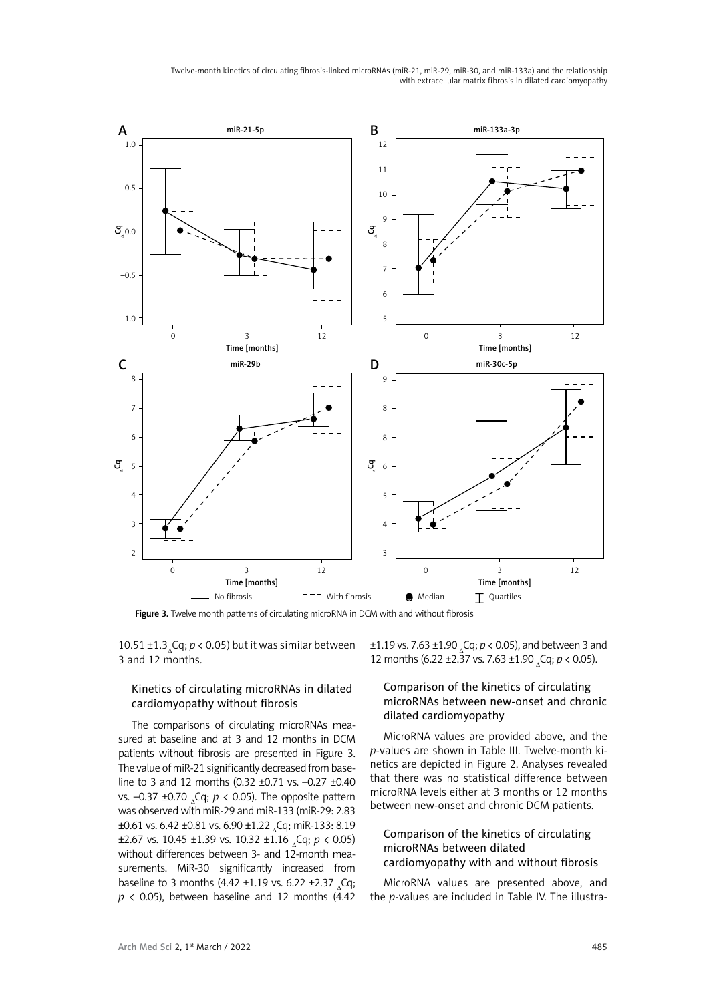Twelve-month kinetics of circulating fibrosis-linked microRNAs (miR-21, miR-29, miR-30, and miR-133a) and the relationship with extracellular matrix fibrosis in dilated cardiomyopathy



Figure 3. Twelve month patterns of circulating microRNA in DCM with and without fibrosis

10.51  $\pm$ 1.3<sub>^</sub>Cq; *p* < 0.05) but it was similar between 3 and 12 months.

## Kinetics of circulating microRNAs in dilated cardiomyopathy without fibrosis

The comparisons of circulating microRNAs measured at baseline and at 3 and 12 months in DCM patients without fibrosis are presented in Figure 3. The value of miR-21 significantly decreased from baseline to 3 and 12 months (0.32 ±0.71 vs. –0.27 ±0.40 vs. –0.37 ±0.70 Cq;  $p$  < 0.05). The opposite pattern was observed with miR-29 and miR-133 (miR-29: 2.83  $\pm 0.61$  vs. 6.42  $\pm 0.81$  vs. 6.90  $\pm 1.22$   $_{\circ}$ Cq; miR-133: 8.19  $\pm$ 2.67 vs. 10.45  $\pm$ 1.39 vs. 10.32  $\pm$ 1.16 (q;  $p < 0.05$ ) without differences between 3- and 12-month measurements. MiR-30 significantly increased from baseline to 3 months (4.42 ±1.19 vs. 6.22 ±2.37  $_{\circ}$ Cq;  $p$  < 0.05), between baseline and 12 months (4.42)  $\pm$ 1.19 vs. 7.63  $\pm$ 1.90 <sub>a</sub>Cq; *p* < 0.05), and between 3 and 12 months (6.22 ±2.37 vs. 7.63 ±1.90 Cq;  $p$  < 0.05).

#### Comparison of the kinetics of circulating microRNAs between new-onset and chronic dilated cardiomyopathy

MicroRNA values are provided above, and the *p*-values are shown in Table III. Twelve-month kinetics are depicted in Figure 2. Analyses revealed that there was no statistical difference between microRNA levels either at 3 months or 12 months between new-onset and chronic DCM patients.

## Comparison of the kinetics of circulating microRNAs between dilated cardiomyopathy with and without fibrosis

MicroRNA values are presented above, and the *p*-values are included in Table IV. The illustra-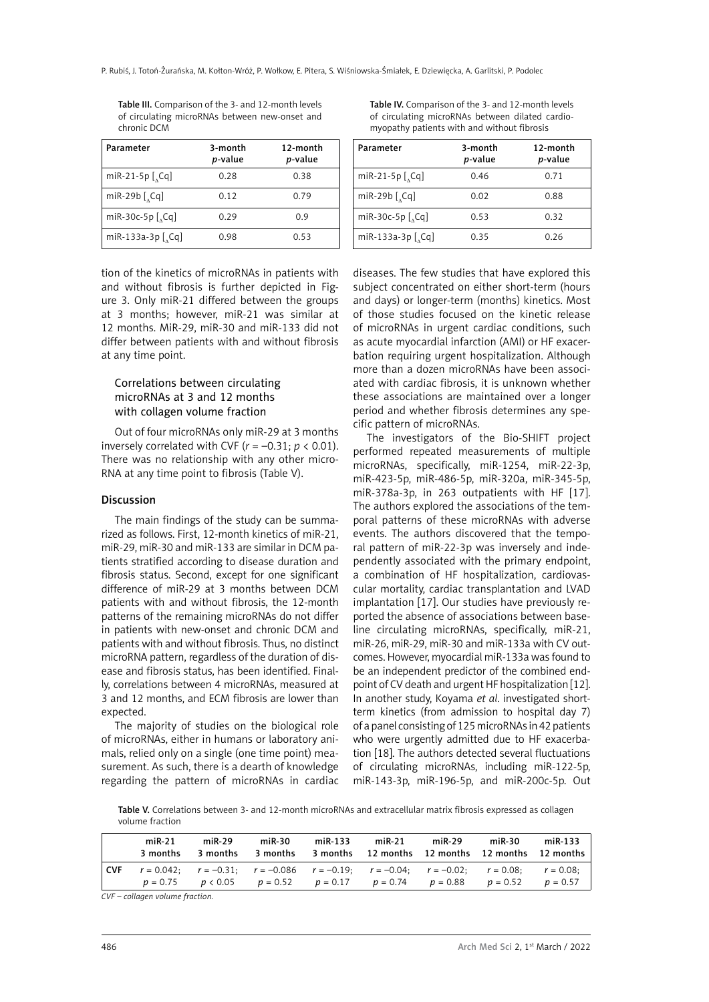| Parameter                                                                                                                                                                                                                                                                                                                                                                                                                 | 3-month<br>p-value | 12-month<br>p-value |
|---------------------------------------------------------------------------------------------------------------------------------------------------------------------------------------------------------------------------------------------------------------------------------------------------------------------------------------------------------------------------------------------------------------------------|--------------------|---------------------|
| miR-21-5p $\left[ \right.$ $\left[ \right.$ $\left[ \right.$ $\left[ \right.$ $\left[ \right.$ $\left[ \right.$ $\left[ \right.$ $\left[ \right.$ $\left[ \right.$ $\left[ \right.$ $\left[ \right.$ $\left[ \right.$ $\left[ \right.$ $\left[ \right.$ $\left[ \right.$ $\left[ \right.$ $\left[ \right.$ $\left[ \right.$ $\left[ \right.$ $\left[ \right.$ $\left[ \right.$ $\left[ \right.$ $\left[ \right.$ $\left[$ | 0.28               | 0.38                |
| miR-29b $[$ <sub>2</sub> Cq]                                                                                                                                                                                                                                                                                                                                                                                              | 0.12               | 0.79                |
| miR-30c-5p $[$ <sub>2</sub> Cq]                                                                                                                                                                                                                                                                                                                                                                                           | 0.29               | 0.9                 |
| miR-133a-3p $[$ <sub>1</sub> Cq]                                                                                                                                                                                                                                                                                                                                                                                          | 0.98               | 0.53                |

Table III. Comparison of the 3- and 12-month levels of circulating microRNAs between new-onset and chronic DCM

tion of the kinetics of microRNAs in patients with and without fibrosis is further depicted in Figure 3. Only miR-21 differed between the groups at 3 months; however, miR-21 was similar at 12 months. MiR-29, miR-30 and miR-133 did not differ between patients with and without fibrosis at any time point.

#### Correlations between circulating microRNAs at 3 and 12 months with collagen volume fraction

Out of four microRNAs only miR-29 at 3 months inversely correlated with CVF  $(r = -0.31; p < 0.01)$ . There was no relationship with any other micro-RNA at any time point to fibrosis (Table V).

#### Discussion

The main findings of the study can be summarized as follows. First, 12-month kinetics of miR-21, miR-29, miR-30 and miR-133 are similar in DCM patients stratified according to disease duration and fibrosis status. Second, except for one significant difference of miR-29 at 3 months between DCM patients with and without fibrosis, the 12-month patterns of the remaining microRNAs do not differ in patients with new-onset and chronic DCM and patients with and without fibrosis. Thus, no distinct microRNA pattern, regardless of the duration of disease and fibrosis status, has been identified. Finally, correlations between 4 microRNAs, measured at 3 and 12 months, and ECM fibrosis are lower than expected.

The majority of studies on the biological role of microRNAs, either in humans or laboratory animals, relied only on a single (one time point) measurement. As such, there is a dearth of knowledge regarding the pattern of microRNAs in cardiac

Table IV. Comparison of the 3- and 12-month levels of circulating microRNAs between dilated cardiomyopathy patients with and without fibrosis

| Parameter                                                                                                                                                                                                                                                                                                                                                                                                                 | 3-month<br>p-value | 12-month<br>p-value |  |  |
|---------------------------------------------------------------------------------------------------------------------------------------------------------------------------------------------------------------------------------------------------------------------------------------------------------------------------------------------------------------------------------------------------------------------------|--------------------|---------------------|--|--|
| miR-21-5p $\left[ \right.$ $\left[ \right.$ $\left[ \right.$ $\left[ \right.$ $\left[ \right.$ $\left[ \right.$ $\left[ \right.$ $\left[ \right.$ $\left[ \right.$ $\left[ \right.$ $\left[ \right.$ $\left[ \right.$ $\left[ \right.$ $\left[ \right.$ $\left[ \right.$ $\left[ \right.$ $\left[ \right.$ $\left[ \right.$ $\left[ \right.$ $\left[ \right.$ $\left[ \right.$ $\left[ \right.$ $\left[ \right.$ $\left[$ | 0.46               | 0.71                |  |  |
| miR-29b $\left[\right\rangle$ Cq]                                                                                                                                                                                                                                                                                                                                                                                         | 0.02               | 0.88                |  |  |
| miR-30c-5p $[$ <sub>2</sub> Cq]                                                                                                                                                                                                                                                                                                                                                                                           | 0.53               | 0.32                |  |  |
| miR-133a-3p $[$ <sub>1</sub> Cq]                                                                                                                                                                                                                                                                                                                                                                                          | 0.35               | 0.26                |  |  |

diseases. The few studies that have explored this subject concentrated on either short-term (hours and days) or longer-term (months) kinetics. Most of those studies focused on the kinetic release of microRNAs in urgent cardiac conditions, such as acute myocardial infarction (AMI) or HF exacerbation requiring urgent hospitalization. Although more than a dozen microRNAs have been associated with cardiac fibrosis, it is unknown whether these associations are maintained over a longer period and whether fibrosis determines any specific pattern of microRNAs.

The investigators of the Bio-SHIFT project performed repeated measurements of multiple microRNAs, specifically, miR-1254, miR-22-3p, miR-423-5p, miR-486-5p, miR-320a, miR-345-5p, miR-378a-3p, in 263 outpatients with HF [17]. The authors explored the associations of the temporal patterns of these microRNAs with adverse events. The authors discovered that the temporal pattern of miR-22-3p was inversely and independently associated with the primary endpoint, a combination of HF hospitalization, cardiovascular mortality, cardiac transplantation and LVAD implantation [17]. Our studies have previously reported the absence of associations between baseline circulating microRNAs, specifically, miR-21, miR-26, miR-29, miR-30 and miR-133a with CV outcomes. However, myocardial miR-133a was found to be an independent predictor of the combined endpoint of CV death and urgent HF hospitalization [12]. In another study, Koyama *et al*. investigated shortterm kinetics (from admission to hospital day 7) of a panel consisting of 125 microRNAs in 42 patients who were urgently admitted due to HF exacerbation [18]. The authors detected several fluctuations of circulating microRNAs, including miR-122-5p, miR-143-3p, miR-196-5p, and miR-200c-5p. Out

Table V. Correlations between 3- and 12-month microRNAs and extracellular matrix fibrosis expressed as collagen volume fraction

|       | $miR-21$<br>3 months | $miR-29$<br>3 months | $miR-30$ | miR-133 | $miR-21$                                                                                                                                                                                                | miR-29 | miR-30 | miR-133 |
|-------|----------------------|----------------------|----------|---------|---------------------------------------------------------------------------------------------------------------------------------------------------------------------------------------------------------|--------|--------|---------|
| l CVF |                      |                      |          |         | $r = 0.042$ ; $r = -0.31$ ; $r = -0.086$ $r = -0.19$ ; $r = -0.04$ ; $r = -0.02$ ; $r = 0.08$ ; $r = 0.08$ ;<br>$p = 0.75$ $p < 0.05$ $p = 0.52$ $p = 0.17$ $p = 0.74$ $p = 0.88$ $p = 0.52$ $p = 0.57$ |        |        |         |

*CVF – collagen volume fraction.*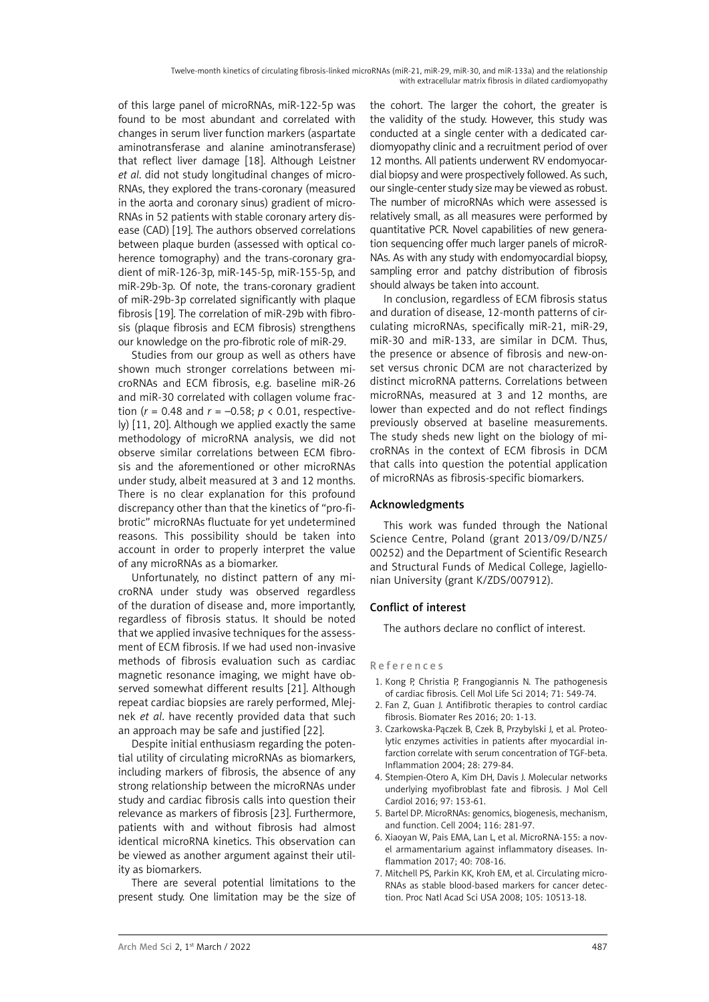of this large panel of microRNAs, miR-122-5p was found to be most abundant and correlated with changes in serum liver function markers (aspartate aminotransferase and alanine aminotransferase) that reflect liver damage [18]. Although Leistner *et al*. did not study longitudinal changes of micro-RNAs, they explored the trans-coronary (measured in the aorta and coronary sinus) gradient of micro-RNAs in 52 patients with stable coronary artery disease (CAD) [19]. The authors observed correlations between plaque burden (assessed with optical coherence tomography) and the trans-coronary gradient of miR-126-3p, miR-145-5p, miR-155-5p, and miR-29b-3p. Of note, the trans-coronary gradient of miR-29b-3p correlated significantly with plaque fibrosis [19]. The correlation of miR-29b with fibrosis (plaque fibrosis and ECM fibrosis) strengthens our knowledge on the pro-fibrotic role of miR-29.

Studies from our group as well as others have shown much stronger correlations between microRNAs and ECM fibrosis, e.g. baseline miR-26 and miR-30 correlated with collagen volume fraction (*r* = 0.48 and *r* = –0.58; *p* < 0.01, respectively) [11, 20]. Although we applied exactly the same methodology of microRNA analysis, we did not observe similar correlations between ECM fibrosis and the aforementioned or other microRNAs under study, albeit measured at 3 and 12 months. There is no clear explanation for this profound discrepancy other than that the kinetics of "pro-fibrotic" microRNAs fluctuate for yet undetermined reasons. This possibility should be taken into account in order to properly interpret the value of any microRNAs as a biomarker.

Unfortunately, no distinct pattern of any microRNA under study was observed regardless of the duration of disease and, more importantly, regardless of fibrosis status. It should be noted that we applied invasive techniques for the assessment of ECM fibrosis. If we had used non-invasive methods of fibrosis evaluation such as cardiac magnetic resonance imaging, we might have observed somewhat different results [21]. Although repeat cardiac biopsies are rarely performed, Mlejnek *et al*. have recently provided data that such an approach may be safe and justified [22].

Despite initial enthusiasm regarding the potential utility of circulating microRNAs as biomarkers, including markers of fibrosis, the absence of any strong relationship between the microRNAs under study and cardiac fibrosis calls into question their relevance as markers of fibrosis [23]. Furthermore, patients with and without fibrosis had almost identical microRNA kinetics. This observation can be viewed as another argument against their utility as biomarkers.

There are several potential limitations to the present study. One limitation may be the size of the cohort. The larger the cohort, the greater is the validity of the study. However, this study was conducted at a single center with a dedicated cardiomyopathy clinic and a recruitment period of over 12 months. All patients underwent RV endomyocardial biopsy and were prospectively followed. As such, our single-center study size may be viewed as robust. The number of microRNAs which were assessed is relatively small, as all measures were performed by quantitative PCR. Novel capabilities of new generation sequencing offer much larger panels of microR-NAs. As with any study with endomyocardial biopsy, sampling error and patchy distribution of fibrosis should always be taken into account.

In conclusion, regardless of ECM fibrosis status and duration of disease, 12-month patterns of circulating microRNAs, specifically miR-21, miR-29, miR-30 and miR-133, are similar in DCM. Thus, the presence or absence of fibrosis and new-onset versus chronic DCM are not characterized by distinct microRNA patterns. Correlations between microRNAs, measured at 3 and 12 months, are lower than expected and do not reflect findings previously observed at baseline measurements. The study sheds new light on the biology of microRNAs in the context of ECM fibrosis in DCM that calls into question the potential application of microRNAs as fibrosis-specific biomarkers.

# Acknowledgments

This work was funded through the National Science Centre, Poland (grant 2013/09/D/NZ5/ 00252) and the Department of Scientific Research and Structural Funds of Medical College, Jagiellonian University (grant K/ZDS/007912).

# Conflict of interest

The authors declare no conflict of interest.

## References

- 1. Kong P, Christia P, Frangogiannis N. The pathogenesis of cardiac fibrosis. Cell Mol Life Sci 2014; 71: 549-74.
- 2. Fan Z, Guan J. Antifibrotic therapies to control cardiac fibrosis. Biomater Res 2016; 20: 1-13.
- 3. Czarkowska-Pączek B, Czek B, Przybylski J, et al. Proteolytic enzymes activities in patients after myocardial infarction correlate with serum concentration of TGF-beta. Inflammation 2004; 28: 279-84.
- 4. Stempien-Otero A, Kim DH, Davis J. Molecular networks underlying myofibroblast fate and fibrosis. J Mol Cell Cardiol 2016; 97: 153-61.
- 5. Bartel DP. MicroRNAs: genomics, biogenesis, mechanism, and function. Cell 2004; 116: 281-97.
- 6. Xiaoyan W, Pais EMA, Lan L, et al. MicroRNA-155: a novel armamentarium against inflammatory diseases. Inflammation 2017; 40: 708-16.
- 7. Mitchell PS, Parkin KK, Kroh EM, et al. Circulating micro-RNAs as stable blood-based markers for cancer detection. Proc Natl Acad Sci USA 2008; 105: 10513-18.